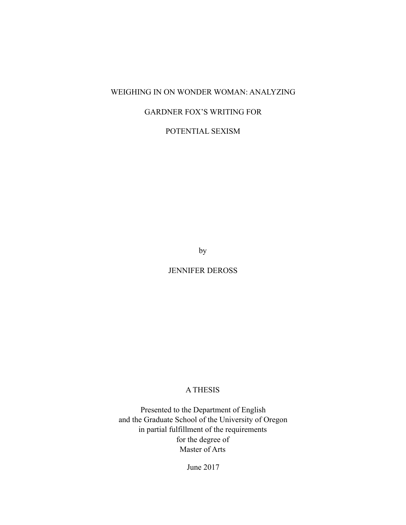## WEIGHING IN ON WONDER WOMAN: ANALYZING

# GARDNER FOX'S WRITING FOR

POTENTIAL SEXISM

by

JENNIFER DEROSS

#### A THESIS

Presented to the Department of English and the Graduate School of the University of Oregon in partial fulfillment of the requirements for the degree of Master of Arts

June 2017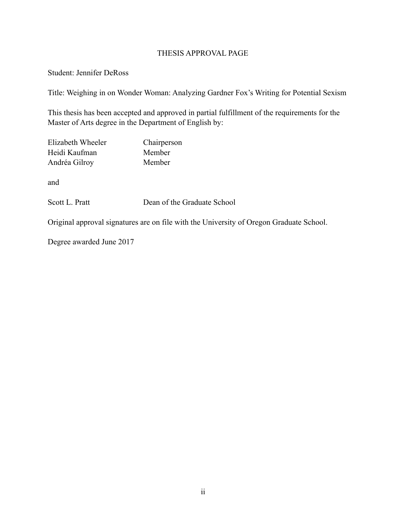### THESIS APPROVAL PAGE

#### Student: Jennifer DeRoss

Title: Weighing in on Wonder Woman: Analyzing Gardner Fox's Writing for Potential Sexism

This thesis has been accepted and approved in partial fulfillment of the requirements for the Master of Arts degree in the Department of English by:

| Elizabeth Wheeler | Chairperson |
|-------------------|-------------|
| Heidi Kaufman     | Member      |
| Andréa Gilroy     | Member      |
|                   |             |
| and               |             |

Scott L. Pratt Dean of the Graduate School

Original approval signatures are on file with the University of Oregon Graduate School.

Degree awarded June 2017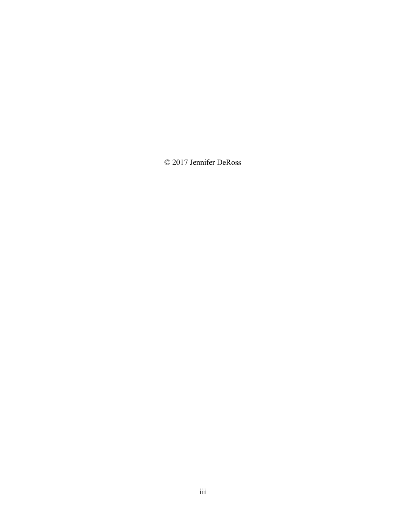© 2017 Jennifer DeRoss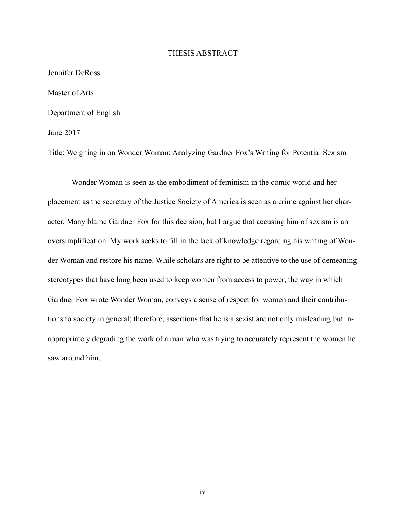#### THESIS ABSTRACT

Jennifer DeRoss Master of Arts Department of English June 2017

Title: Weighing in on Wonder Woman: Analyzing Gardner Fox's Writing for Potential Sexism

Wonder Woman is seen as the embodiment of feminism in the comic world and her placement as the secretary of the Justice Society of America is seen as a crime against her character. Many blame Gardner Fox for this decision, but I argue that accusing him of sexism is an oversimplification. My work seeks to fill in the lack of knowledge regarding his writing of Wonder Woman and restore his name. While scholars are right to be attentive to the use of demeaning stereotypes that have long been used to keep women from access to power, the way in which Gardner Fox wrote Wonder Woman, conveys a sense of respect for women and their contributions to society in general; therefore, assertions that he is a sexist are not only misleading but inappropriately degrading the work of a man who was trying to accurately represent the women he saw around him.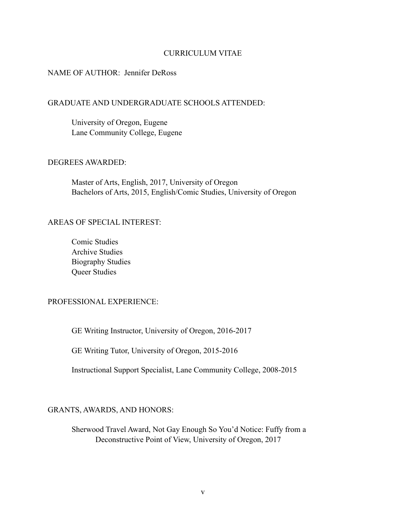#### CURRICULUM VITAE

#### NAME OF AUTHOR: Jennifer DeRoss

#### GRADUATE AND UNDERGRADUATE SCHOOLS ATTENDED:

 University of Oregon, Eugene Lane Community College, Eugene

#### DEGREES AWARDED:

 Master of Arts, English, 2017, University of Oregon Bachelors of Arts, 2015, English/Comic Studies, University of Oregon

#### AREAS OF SPECIAL INTEREST:

Comic Studies Archive Studies Biography Studies Queer Studies

#### PROFESSIONAL EXPERIENCE:

GE Writing Instructor, University of Oregon, 2016-2017

GE Writing Tutor, University of Oregon, 2015-2016

Instructional Support Specialist, Lane Community College, 2008-2015

#### GRANTS, AWARDS, AND HONORS:

 Sherwood Travel Award, Not Gay Enough So You'd Notice: Fuffy from a Deconstructive Point of View, University of Oregon, 2017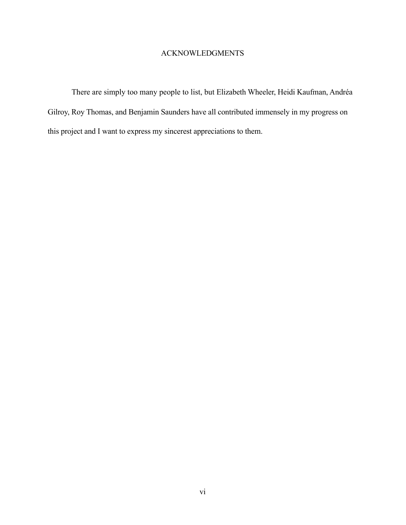#### ACKNOWLEDGMENTS

There are simply too many people to list, but Elizabeth Wheeler, Heidi Kaufman, Andréa Gilroy, Roy Thomas, and Benjamin Saunders have all contributed immensely in my progress on this project and I want to express my sincerest appreciations to them.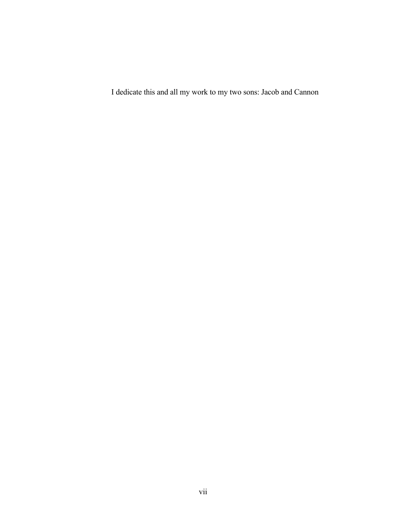I dedicate this and all my work to my two sons: Jacob and Cannon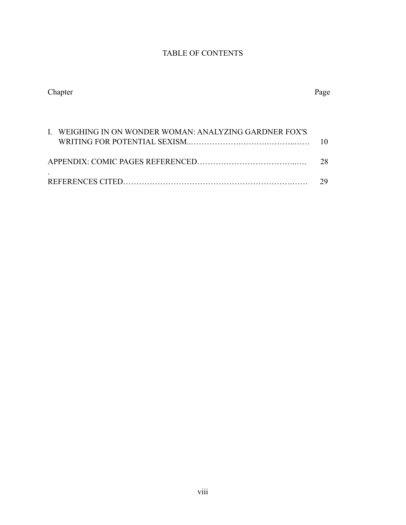# TABLE OF CONTENTS

| Chapter | Page |
|---------|------|
|         |      |

| I. WEIGHING IN ON WONDER WOMAN: ANALYZING GARDNER FOX'S |    |
|---------------------------------------------------------|----|
|                                                         |    |
|                                                         | 28 |
|                                                         |    |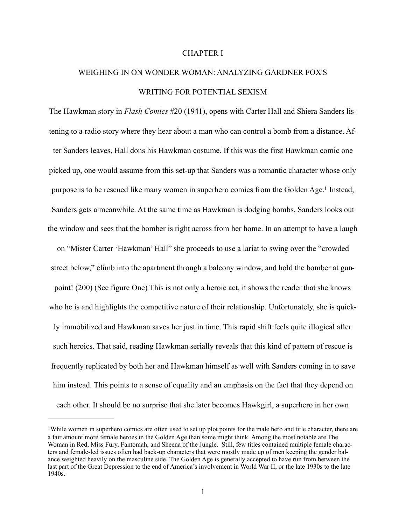#### <span id="page-8-1"></span>CHAPTER I

# WEIGHING IN ON WONDER WOMAN: ANALYZING GARDNER FOX'S WRITING FOR POTENTIAL SEXISM

The Hawkman story in *Flash Comics* #20 (1941), opens with Carter Hall and Shiera Sanders listening to a radio story where they hear about a man who can control a bomb from a distance. After Sanders leaves, Hall dons his Hawkman costume. If this was the first Hawkman comic one picked up, one would assume from this set-up that Sanders was a romantic character whose only purpose is to be rescued like many women in superhero comics from the Golden Age[.](#page-8-0)<sup>[1](#page-8-0)</sup> Instead, Sanders gets a meanwhile. At the same time as Hawkman is dodging bombs, Sanders looks out the window and sees that the bomber is right across from her home. In an attempt to have a laugh

on "Mister Carter 'Hawkman' Hall" she proceeds to use a lariat to swing over the "crowded street below," climb into the apartment through a balcony window, and hold the bomber at gunpoint! (200) (See figure One) This is not only a heroic act, it shows the reader that she knows who he is and highlights the competitive nature of their relationship. Unfortunately, she is quickly immobilized and Hawkman saves her just in time. This rapid shift feels quite illogical after such heroics. That said, reading Hawkman serially reveals that this kind of pattern of rescue is frequently replicated by both her and Hawkman himself as well with Sanders coming in to save him instead. This points to a sense of equality and an emphasis on the fact that they depend on each other. It should be no surprise that she later becomes Hawkgirl, a superhero in her own

<span id="page-8-0"></span>While women in superhero comics are often used to set up plot points for the male hero and title character, there are a fair amount more female heroes in the Golden Age than some might think. Among the most notable are The Woman in Red, Miss Fury, Fantomah, and Sheena of the Jungle. Still, few titles contained multiple female characters and female-led issues often had back-up characters that were mostly made up of men keeping the gender balance weighted heavily on the masculine side. The Golden Age is generally accepted to have run from between the last part of the Great Depression to the end of America's involvement in World War II, or the late 1930s to the late 1940s.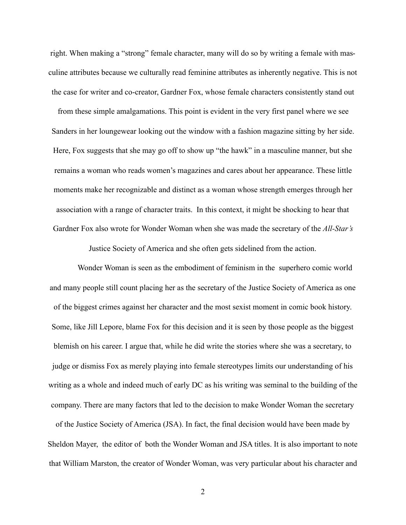right. When making a "strong" female character, many will do so by writing a female with masculine attributes because we culturally read feminine attributes as inherently negative. This is not the case for writer and co-creator, Gardner Fox, whose female characters consistently stand out

from these simple amalgamations. This point is evident in the very first panel where we see Sanders in her loungewear looking out the window with a fashion magazine sitting by her side. Here, Fox suggests that she may go off to show up "the hawk" in a masculine manner, but she remains a woman who reads women's magazines and cares about her appearance. These little moments make her recognizable and distinct as a woman whose strength emerges through her association with a range of character traits. In this context, it might be shocking to hear that Gardner Fox also wrote for Wonder Woman when she was made the secretary of the *All-Star's*

Justice Society of America and she often gets sidelined from the action.

 Wonder Woman is seen as the embodiment of feminism in the superhero comic world and many people still count placing her as the secretary of the Justice Society of America as one of the biggest crimes against her character and the most sexist moment in comic book history. Some, like Jill Lepore, blame Fox for this decision and it is seen by those people as the biggest blemish on his career. I argue that, while he did write the stories where she was a secretary, to judge or dismiss Fox as merely playing into female stereotypes limits our understanding of his writing as a whole and indeed much of early DC as his writing was seminal to the building of the company. There are many factors that led to the decision to make Wonder Woman the secretary of the Justice Society of America (JSA). In fact, the final decision would have been made by Sheldon Mayer, the editor of both the Wonder Woman and JSA titles. It is also important to note that William Marston, the creator of Wonder Woman, was very particular about his character and

2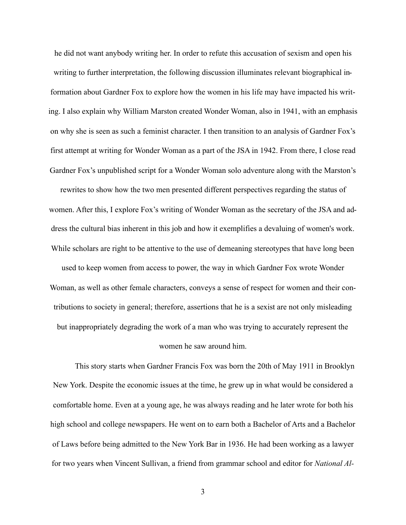he did not want anybody writing her. In order to refute this accusation of sexism and open his writing to further interpretation, the following discussion illuminates relevant biographical information about Gardner Fox to explore how the women in his life may have impacted his writing. I also explain why William Marston created Wonder Woman, also in 1941, with an emphasis on why she is seen as such a feminist character. I then transition to an analysis of Gardner Fox's first attempt at writing for Wonder Woman as a part of the JSA in 1942. From there, I close read Gardner Fox's unpublished script for a Wonder Woman solo adventure along with the Marston's rewrites to show how the two men presented different perspectives regarding the status of women. After this, I explore Fox's writing of Wonder Woman as the secretary of the JSA and address the cultural bias inherent in this job and how it exemplifies a devaluing of women's work. While scholars are right to be attentive to the use of demeaning stereotypes that have long been used to keep women from access to power, the way in which Gardner Fox wrote Wonder Woman, as well as other female characters, conveys a sense of respect for women and their contributions to society in general; therefore, assertions that he is a sexist are not only misleading but inappropriately degrading the work of a man who was trying to accurately represent the women he saw around him.

 This story starts when Gardner Francis Fox was born the 20th of May 1911 in Brooklyn New York. Despite the economic issues at the time, he grew up in what would be considered a comfortable home. Even at a young age, he was always reading and he later wrote for both his high school and college newspapers. He went on to earn both a Bachelor of Arts and a Bachelor of Laws before being admitted to the New York Bar in 1936. He had been working as a lawyer for two years when Vincent Sullivan, a friend from grammar school and editor for *National Al-*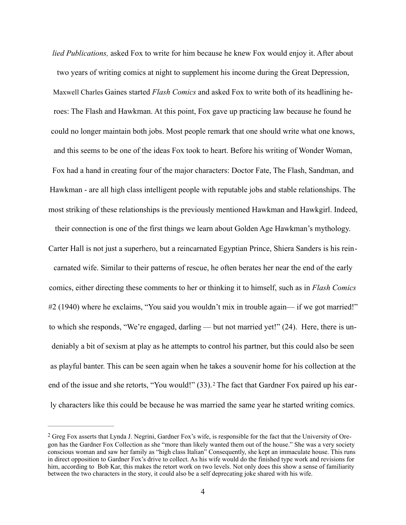*lied Publications,* asked Fox to write for him because he knew Fox would enjoy it. After about two years of writing comics at night to supplement his income during the Great Depression, Maxwell Charles Gaines started *Flash Comics* and asked Fox to write both of its headlining heroes: The Flash and Hawkman. At this point, Fox gave up practicing law because he found he could no longer maintain both jobs. Most people remark that one should write what one knows, and this seems to be one of the ideas Fox took to heart. Before his writing of Wonder Woman, Fox had a hand in creating four of the major characters: Doctor Fate, The Flash, Sandman, and Hawkman - are all high class intelligent people with reputable jobs and stable relationships. The most striking of these relationships is the previously mentioned Hawkman and Hawkgirl. Indeed,

their connection is one of the first things we learn about Golden Age Hawkman's mythology.

Carter Hall is not just a superhero, but a reincarnated Egyptian Prince, Shiera Sanders is his reincarnated wife. Similar to their patterns of rescue, he often berates her near the end of the early comics, either directing these comments to her or thinking it to himself, such as in *Flash Comics*  #2 (1940) where he exclaims, "You said you wouldn't mix in trouble again— if we got married!" to which she responds, "We're engaged, darling — but not married yet!" (24). Here, there is undeniably a bit of sexism at play as he attempts to control his partner, but this could also be seen as playful banter. This can be seen again when he takes a souvenir home for his collection at the endof the issue and she retorts, "You would!" (33). <sup>2</sup> The fact that Gardner Fox paired up his early characters like this could be because he was married the same year he started writing comics.

<span id="page-11-1"></span><span id="page-11-0"></span><sup>&</sup>lt;sup>[2](#page-11-1)</sup> Greg Fox asserts that Lynda J. Negrini, Gardner Fox's wife, is responsible for the fact that the University of Oregon has the Gardner Fox Collection as she "more than likely wanted them out of the house." She was a very society conscious woman and saw her family as "high class Italian" Consequently, she kept an immaculate house. This runs in direct opposition to Gardner Fox's drive to collect. As his wife would do the finished type work and revisions for him, according to Bob Kar, this makes the retort work on two levels. Not only does this show a sense of familiarity between the two characters in the story, it could also be a self deprecating joke shared with his wife.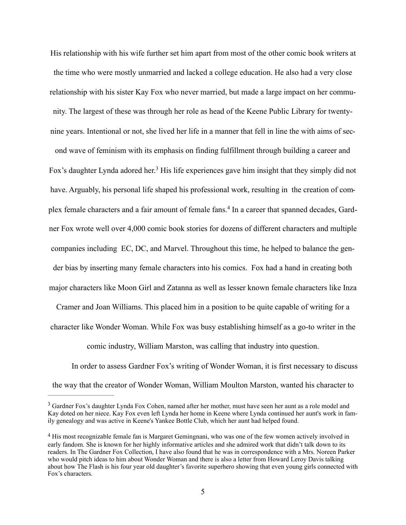His relationship with his wife further set him apart from most of the other comic book writers at the time who were mostly unmarried and lacked a college education. He also had a very close relationship with his sister Kay Fox who never married, but made a large impact on her community. The largest of these was through her role as head of the Keene Public Library for twentynine years. Intentional or not, she lived her life in a manner that fell in line the with aims of sec-

<span id="page-12-2"></span>ond wave of feminism with its emphasis on finding fulfillment through building a career and Fox'sdaughter Lynda adored her.<sup>[3](#page-12-0)</sup> His life experiences gave him insight that they simply did not have. Arguably, his personal life shaped his professional work, resulting in the creation of complexfemale characters and a fair amount of female fans.<sup>4</sup> In a career that spanned decades, Gardner Fox wrote well over 4,000 comic book stories for dozens of different characters and multiple companies including EC, DC, and Marvel. Throughout this time, he helped to balance the gender bias by inserting many female characters into his comics. Fox had a hand in creating both major characters like Moon Girl and Zatanna as well as lesser known female characters like Inza

Cramer and Joan Williams. This placed him in a position to be quite capable of writing for a character like Wonder Woman. While Fox was busy establishing himself as a go-to writer in the

<span id="page-12-3"></span>comic industry, William Marston, was calling that industry into question.

In order to assess Gardner Fox's writing of Wonder Woman, it is first necessary to discuss the way that the creator of Wonder Woman, William Moulton Marston, wanted his character to

<span id="page-12-0"></span><sup>&</sup>lt;sup>[3](#page-12-2)</sup> Gardner Fox's daughter Lynda Fox Cohen, named after her mother, must have seen her aunt as a role model and Kay doted on her niece. Kay Fox even left Lynda her home in Keene where Lynda continued her aunt's work in family genealogy and was active in Keene's Yankee Bottle Club, which her aunt had helped found.

<span id="page-12-1"></span><sup>&</sup>lt;sup>[4](#page-12-3)</sup> His most recognizable female fan is Margaret Gemingnani, who was one of the few women actively involved in early fandom. She is known for her highly informative articles and she admired work that didn't talk down to its readers. In The Gardner Fox Collection, I have also found that he was in correspondence with a Mrs. Noreen Parker who would pitch ideas to him about Wonder Woman and there is also a letter from Howard Leroy Davis talking about how The Flash is his four year old daughter's favorite superhero showing that even young girls connected with Fox's characters.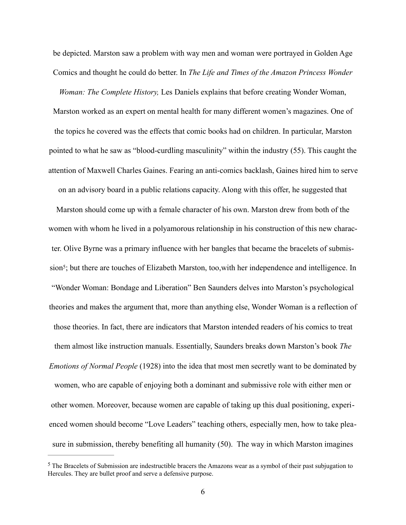be depicted. Marston saw a problem with way men and woman were portrayed in Golden Age Comics and thought he could do better. In *The Life and Times of the Amazon Princess Wonder* 

*Woman: The Complete History,* Les Daniels explains that before creating Wonder Woman, Marston worked as an expert on mental health for many different women's magazines. One of the topics he covered was the effects that comic books had on children. In particular, Marston pointed to what he saw as "blood-curdling masculinity" within the industry (55). This caught the attention of Maxwell Charles Gaines. Fearing an anti-comics backlash, Gaines hired him to serve on an advisory board in a public relations capacity. Along with this offer, he suggested that

<span id="page-13-1"></span>Marston should come up with a female character of his own. Marston drew from both of the women with whom he lived in a polyamorous relationship in his construction of this new character. Olive Byrne was a primary influence with her bangles that became the bracelets of submis-sion<sup>[5](#page-13-0)</sup>; but there are touches of Elizabeth Marston, too, with her independence and intelligence. In "Wonder Woman: Bondage and Liberation" Ben Saunders delves into Marston's psychological theories and makes the argument that, more than anything else, Wonder Woman is a reflection of those theories. In fact, there are indicators that Marston intended readers of his comics to treat them almost like instruction manuals. Essentially, Saunders breaks down Marston's book *The Emotions of Normal People* (1928) into the idea that most men secretly want to be dominated by women, who are capable of enjoying both a dominant and submissive role with either men or other women. Moreover, because women are capable of taking up this dual positioning, experienced women should become "Love Leaders" teaching others, especially men, how to take pleasure in submission, thereby benefiting all humanity (50). The way in which Marston imagines

<span id="page-13-0"></span> $<sup>5</sup>$  $<sup>5</sup>$  $<sup>5</sup>$  The Bracelets of Submission are indestructible bracers the Amazons wear as a symbol of their past subjugation to</sup> Hercules. They are bullet proof and serve a defensive purpose.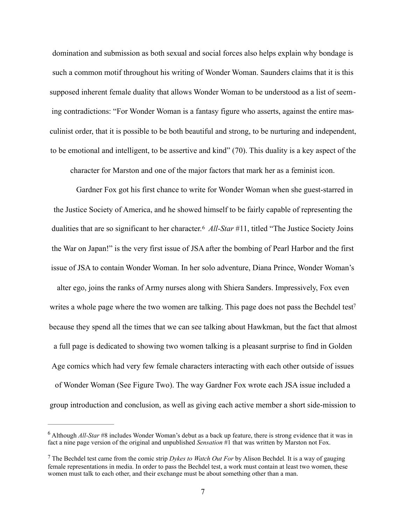domination and submission as both sexual and social forces also helps explain why bondage is such a common motif throughout his writing of Wonder Woman. Saunders claims that it is this supposed inherent female duality that allows Wonder Woman to be understood as a list of seeming contradictions: "For Wonder Woman is a fantasy figure who asserts, against the entire masculinist order, that it is possible to be both beautiful and strong, to be nurturing and independent, to be emotional and intelligent, to be assertive and kind" (70). This duality is a key aspect of the

<span id="page-14-3"></span><span id="page-14-2"></span>character for Marston and one of the major factors that mark her as a feminist icon.

 Gardner Fox got his first chance to write for Wonder Woman when she guest-starred in the Justice Society of America, and he showed himself to be fairly capable of representing the dualitiesthat are so significant to her character.<sup>6</sup> All-Star #11, titled "The Justice Society Joins" the War on Japan!" is the very first issue of JSA after the bombing of Pearl Harbor and the first issue of JSA to contain Wonder Woman. In her solo adventure, Diana Prince, Wonder Woman's alter ego, joins the ranks of Army nurses along with Shiera Sanders. Impressively, Fox even writes a whole page where the two women are talking. This page does not pass the Bechdel test<sup>7</sup> because they spend all the times that we can see talking about Hawkman, but the fact that almost a full page is dedicated to showing two women talking is a pleasant surprise to find in Golden Age comics which had very few female characters interacting with each other outside of issues of Wonder Woman (See Figure Two). The way Gardner Fox wrote each JSA issue included a group introduction and conclusion, as well as giving each active member a short side-mission to

<span id="page-14-0"></span>Although *All-Star* #8 includes Wonder Woman's debut as a back up feature, there is strong evidence that it was in [6](#page-14-2) fact a nine page version of the original and unpublished *Sensation* #1 that was written by Marston not Fox.

<span id="page-14-1"></span>The Bechdel test came from the comic strip *Dykes to Watch Out For* by Alison Bechdel*.* It is a way of gauging [7](#page-14-3) female representations in media. In order to pass the Bechdel test, a work must contain at least two women, these women must talk to each other, and their exchange must be about something other than a man.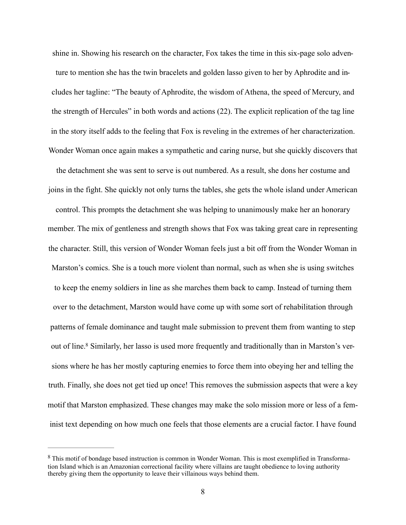shine in. Showing his research on the character, Fox takes the time in this six-page solo adventure to mention she has the twin bracelets and golden lasso given to her by Aphrodite and includes her tagline: "The beauty of Aphrodite, the wisdom of Athena, the speed of Mercury, and the strength of Hercules" in both words and actions (22). The explicit replication of the tag line in the story itself adds to the feeling that Fox is reveling in the extremes of her characterization. Wonder Woman once again makes a sympathetic and caring nurse, but she quickly discovers that

the detachment she was sent to serve is out numbered. As a result, she dons her costume and joins in the fight. She quickly not only turns the tables, she gets the whole island under American control. This prompts the detachment she was helping to unanimously make her an honorary member. The mix of gentleness and strength shows that Fox was taking great care in representing the character. Still, this version of Wonder Woman feels just a bit off from the Wonder Woman in Marston's comics. She is a touch more violent than normal, such as when she is using switches to keep the enemy soldiers in line as she marches them back to camp. Instead of turning them over to the detachment, Marston would have come up with some sort of rehabilitation through patterns of female dominance and taught male submission to prevent them from wanting to step out of line[.](#page-15-0)<sup>8</sup> Similarly, her lasso is used more frequently and traditionally than in Marston's versions where he has her mostly capturing enemies to force them into obeying her and telling the truth. Finally, she does not get tied up once! This removes the submission aspects that were a key motif that Marston emphasized. These changes may make the solo mission more or less of a feminist text depending on how much one feels that those elements are a crucial factor. I have found

<span id="page-15-1"></span><span id="page-15-0"></span><sup>&</sup>lt;sup>[8](#page-15-1)</sup> This motif of bondage based instruction is common in Wonder Woman. This is most exemplified in Transformation Island which is an Amazonian correctional facility where villains are taught obedience to loving authority thereby giving them the opportunity to leave their villainous ways behind them.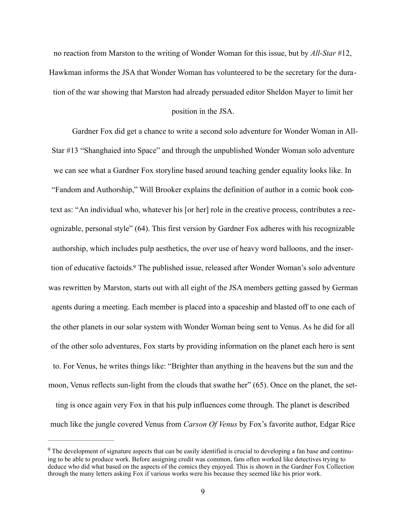no reaction from Marston to the writing of Wonder Woman for this issue, but by *All-Star* #12, Hawkman informs the JSA that Wonder Woman has volunteered to be the secretary for the duration of the war showing that Marston had already persuaded editor Sheldon Mayer to limit her

#### position in the JSA.

 Gardner Fox did get a chance to write a second solo adventure for Wonder Woman in All-Star #13 "Shanghaied into Space" and through the unpublished Wonder Woman solo adventure we can see what a Gardner Fox storyline based around teaching gender equality looks like. In "Fandom and Authorship," Will Brooker explains the definition of author in a comic book context as: "An individual who, whatever his [or her] role in the creative process, contributes a recognizable, personal style" (64). This first version by Gardner Fox adheres with his recognizable authorship, which includes pulp aesthetics, the over use of heavy word balloons, and the inser-tion of educative factoids[.](#page-16-0)<sup>[9](#page-16-0)</sup> The published issue, released after Wonder Woman's solo adventure was rewritten by Marston, starts out with all eight of the JSA members getting gassed by German agents during a meeting. Each member is placed into a spaceship and blasted off to one each of the other planets in our solar system with Wonder Woman being sent to Venus. As he did for all of the other solo adventures, Fox starts by providing information on the planet each hero is sent to. For Venus, he writes things like: "Brighter than anything in the heavens but the sun and the moon, Venus reflects sun-light from the clouds that swathe her" (65). Once on the planet, the set-

<span id="page-16-1"></span>ting is once again very Fox in that his pulp influences come through. The planet is described much like the jungle covered Venus from *Carson Of Venus* by Fox's favorite author, Edgar Rice

<span id="page-16-0"></span><sup>&</sup>lt;sup>[9](#page-16-1)</sup> The development of signature aspects that can be easily identified is crucial to developing a fan base and continuing to be able to produce work. Before assigning credit was common, fans often worked like detectives trying to deduce who did what based on the aspects of the comics they enjoyed. This is shown in the Gardner Fox Collection through the many letters asking Fox if various works were his because they seemed like his prior work.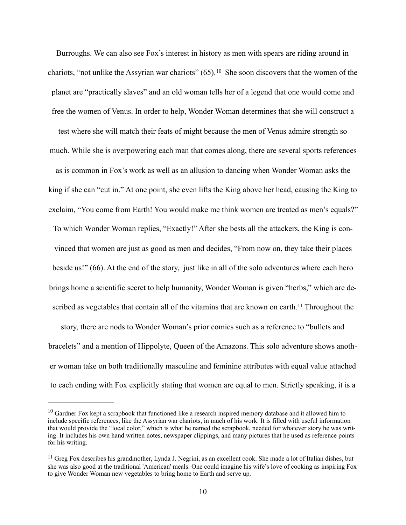<span id="page-17-2"></span>Burroughs. We can also see Fox's interest in history as men with spears are riding around in chariots,"not unlike the Assyrian war chariots"  $(65)$ .<sup>[10](#page-17-0)</sup> She soon discovers that the women of the planet are "practically slaves" and an old woman tells her of a legend that one would come and free the women of Venus. In order to help, Wonder Woman determines that she will construct a test where she will match their feats of might because the men of Venus admire strength so much. While she is overpowering each man that comes along, there are several sports references as is common in Fox's work as well as an allusion to dancing when Wonder Woman asks the king if she can "cut in." At one point, she even lifts the King above her head, causing the King to exclaim, "You come from Earth! You would make me think women are treated as men's equals?" To which Wonder Woman replies, "Exactly!" After she bests all the attackers, the King is convinced that women are just as good as men and decides, "From now on, they take their places beside us!" (66). At the end of the story, just like in all of the solo adventures where each hero brings home a scientific secret to help humanity, Wonder Woman is given "herbs," which are de-scribed as vegetables that contain all of the vitamins that are known on earth.<sup>[11](#page-17-1)</sup> Throughout the story, there are nods to Wonder Woman's prior comics such as a reference to "bullets and bracelets" and a mention of Hippolyte, Queen of the Amazons. This solo adventure shows anoth-

<span id="page-17-3"></span>er woman take on both traditionally masculine and feminine attributes with equal value attached

to each ending with Fox explicitly stating that women are equal to men. Strictly speaking, it is a

<span id="page-17-0"></span> $10$  Gardner Fox kept a scrapbook that functioned like a research inspired memory database and it allowed him to include specific references, like the Assyrian war chariots, in much of his work. It is filled with useful information that would provide the "local color," which is what he named the scrapbook, needed for whatever story he was writing. It includes his own hand written notes, newspaper clippings, and many pictures that he used as reference points for his writing.

<span id="page-17-1"></span> $<sup>11</sup>$  $<sup>11</sup>$  $<sup>11</sup>$  Greg Fox describes his grandmother, Lynda J. Negrini, as an excellent cook. She made a lot of Italian dishes, but</sup> she was also good at the traditional 'American' meals. One could imagine his wife's love of cooking as inspiring Fox to give Wonder Woman new vegetables to bring home to Earth and serve up.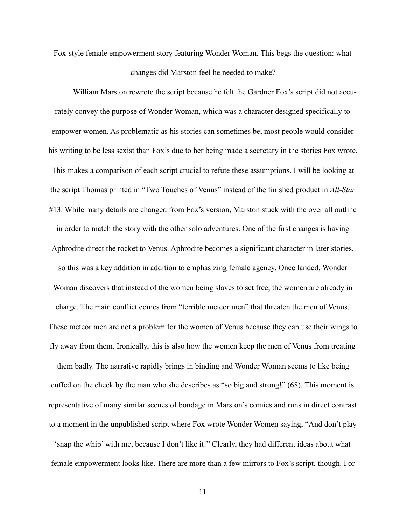Fox-style female empowerment story featuring Wonder Woman. This begs the question: what

#### changes did Marston feel he needed to make?

 William Marston rewrote the script because he felt the Gardner Fox's script did not accurately convey the purpose of Wonder Woman, which was a character designed specifically to empower women. As problematic as his stories can sometimes be, most people would consider his writing to be less sexist than Fox's due to her being made a secretary in the stories Fox wrote. This makes a comparison of each script crucial to refute these assumptions. I will be looking at the script Thomas printed in "Two Touches of Venus" instead of the finished product in *All-Star* #13. While many details are changed from Fox's version, Marston stuck with the over all outline in order to match the story with the other solo adventures. One of the first changes is having Aphrodite direct the rocket to Venus. Aphrodite becomes a significant character in later stories, so this was a key addition in addition to emphasizing female agency. Once landed, Wonder Woman discovers that instead of the women being slaves to set free, the women are already in charge. The main conflict comes from "terrible meteor men" that threaten the men of Venus. These meteor men are not a problem for the women of Venus because they can use their wings to fly away from them. Ironically, this is also how the women keep the men of Venus from treating them badly. The narrative rapidly brings in binding and Wonder Woman seems to like being cuffed on the cheek by the man who she describes as "so big and strong!" (68). This moment is representative of many similar scenes of bondage in Marston's comics and runs in direct contrast to a moment in the unpublished script where Fox wrote Wonder Women saying, "And don't play 'snap the whip' with me, because I don't like it!" Clearly, they had different ideas about what

female empowerment looks like. There are more than a few mirrors to Fox's script, though. For

11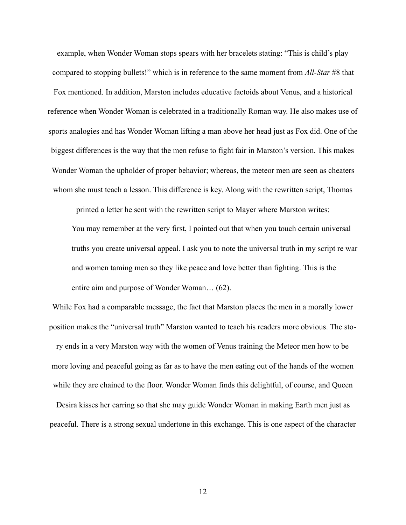example, when Wonder Woman stops spears with her bracelets stating: "This is child's play compared to stopping bullets!" which is in reference to the same moment from *All-Star* #8 that Fox mentioned. In addition, Marston includes educative factoids about Venus, and a historical reference when Wonder Woman is celebrated in a traditionally Roman way. He also makes use of sports analogies and has Wonder Woman lifting a man above her head just as Fox did. One of the biggest differences is the way that the men refuse to fight fair in Marston's version. This makes Wonder Woman the upholder of proper behavior; whereas, the meteor men are seen as cheaters whom she must teach a lesson. This difference is key. Along with the rewritten script, Thomas

printed a letter he sent with the rewritten script to Mayer where Marston writes:

 You may remember at the very first, I pointed out that when you touch certain universal truths you create universal appeal. I ask you to note the universal truth in my script re war and women taming men so they like peace and love better than fighting. This is the entire aim and purpose of Wonder Woman… (62).

While Fox had a comparable message, the fact that Marston places the men in a morally lower position makes the "universal truth" Marston wanted to teach his readers more obvious. The story ends in a very Marston way with the women of Venus training the Meteor men how to be more loving and peaceful going as far as to have the men eating out of the hands of the women while they are chained to the floor. Wonder Woman finds this delightful, of course, and Queen

Desira kisses her earring so that she may guide Wonder Woman in making Earth men just as peaceful. There is a strong sexual undertone in this exchange. This is one aspect of the character

12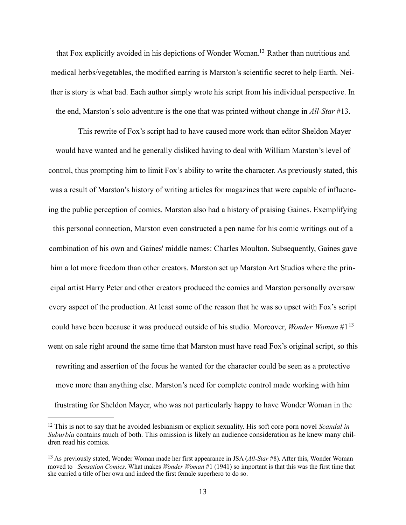<span id="page-20-2"></span>that Fox explicitly avoided in his depictions of Wonder Woman[.](#page-20-0)<sup>[12](#page-20-0)</sup> Rather than nutritious and medical herbs/vegetables, the modified earring is Marston's scientific secret to help Earth. Neither is story is what bad. Each author simply wrote his script from his individual perspective. In the end, Marston's solo adventure is the one that was printed without change in *All-Star* #13.

 This rewrite of Fox's script had to have caused more work than editor Sheldon Mayer would have wanted and he generally disliked having to deal with William Marston's level of control, thus prompting him to limit Fox's ability to write the character. As previously stated, this was a result of Marston's history of writing articles for magazines that were capable of influencing the public perception of comics. Marston also had a history of praising Gaines. Exemplifying this personal connection, Marston even constructed a pen name for his comic writings out of a combination of his own and Gaines' middle names: Charles Moulton. Subsequently, Gaines gave him a lot more freedom than other creators. Marston set up Marston Art Studios where the principal artist Harry Peter and other creators produced the comics and Marston personally oversaw every aspect of the production. At least some of the reason that he was so upset with Fox's script could have been because it was produced outside of his studio. Moreover, *Wonder Woman* #1[13](#page-20-1) went on sale right around the same time that Marston must have read Fox's original script, so this rewriting and assertion of the focus he wanted for the character could be seen as a protective move more than anything else. Marston's need for complete control made working with him frustrating for Sheldon Mayer, who was not particularly happy to have Wonder Woman in the

<span id="page-20-3"></span><span id="page-20-0"></span><sup>&</sup>lt;sup>[12](#page-20-2)</sup> This is not to say that he avoided lesbianism or explicit sexuality. His soft core porn novel *Scandal in Suburbia* contains much of both. This omission is likely an audience consideration as he knew many children read his comics.

<span id="page-20-1"></span><sup>&</sup>lt;sup>[13](#page-20-3)</sup> As previously stated, Wonder Woman made her first appearance in JSA (*All-Star* #8). After this, Wonder Woman moved to *Sensation Comics*. What makes *Wonder Woman* #1 (1941) so important is that this was the first time that she carried a title of her own and indeed the first female superhero to do so.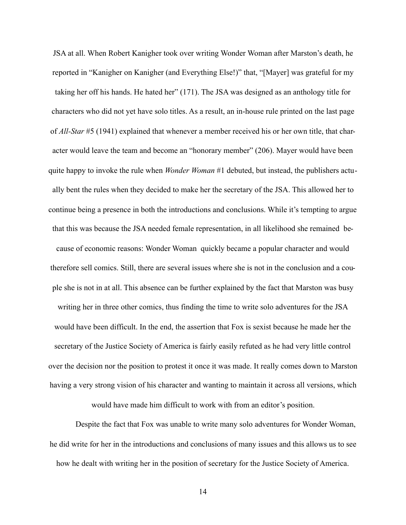JSA at all. When Robert Kanigher took over writing Wonder Woman after Marston's death, he reported in "Kanigher on Kanigher (and Everything Else!)" that, "[Mayer] was grateful for my taking her off his hands. He hated her" (171). The JSA was designed as an anthology title for characters who did not yet have solo titles. As a result, an in-house rule printed on the last page of *All-Star* #5 (1941) explained that whenever a member received his or her own title, that character would leave the team and become an "honorary member" (206). Mayer would have been quite happy to invoke the rule when *Wonder Woman* #1 debuted, but instead, the publishers actually bent the rules when they decided to make her the secretary of the JSA. This allowed her to continue being a presence in both the introductions and conclusions. While it's tempting to argue that this was because the JSA needed female representation, in all likelihood she remained because of economic reasons: Wonder Woman quickly became a popular character and would therefore sell comics. Still, there are several issues where she is not in the conclusion and a couple she is not in at all. This absence can be further explained by the fact that Marston was busy writing her in three other comics, thus finding the time to write solo adventures for the JSA would have been difficult. In the end, the assertion that Fox is sexist because he made her the secretary of the Justice Society of America is fairly easily refuted as he had very little control over the decision nor the position to protest it once it was made. It really comes down to Marston having a very strong vision of his character and wanting to maintain it across all versions, which

would have made him difficult to work with from an editor's position.

 Despite the fact that Fox was unable to write many solo adventures for Wonder Woman, he did write for her in the introductions and conclusions of many issues and this allows us to see how he dealt with writing her in the position of secretary for the Justice Society of America.

14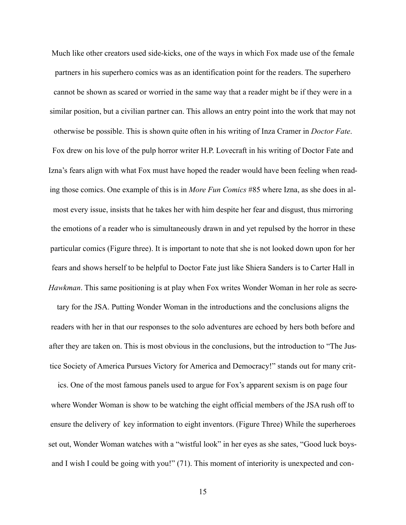Much like other creators used side-kicks, one of the ways in which Fox made use of the female partners in his superhero comics was as an identification point for the readers. The superhero cannot be shown as scared or worried in the same way that a reader might be if they were in a similar position, but a civilian partner can. This allows an entry point into the work that may not otherwise be possible. This is shown quite often in his writing of Inza Cramer in *Doctor Fate*. Fox drew on his love of the pulp horror writer H.P. Lovecraft in his writing of Doctor Fate and Izna's fears align with what Fox must have hoped the reader would have been feeling when reading those comics. One example of this is in *More Fun Comics* #85 where Izna, as she does in almost every issue, insists that he takes her with him despite her fear and disgust, thus mirroring the emotions of a reader who is simultaneously drawn in and yet repulsed by the horror in these particular comics (Figure three). It is important to note that she is not looked down upon for her fears and shows herself to be helpful to Doctor Fate just like Shiera Sanders is to Carter Hall in *Hawkman*. This same positioning is at play when Fox writes Wonder Woman in her role as secretary for the JSA. Putting Wonder Woman in the introductions and the conclusions aligns the readers with her in that our responses to the solo adventures are echoed by hers both before and after they are taken on. This is most obvious in the conclusions, but the introduction to "The Justice Society of America Pursues Victory for America and Democracy!" stands out for many critics. One of the most famous panels used to argue for Fox's apparent sexism is on page four where Wonder Woman is show to be watching the eight official members of the JSA rush off to

ensure the delivery of key information to eight inventors. (Figure Three) While the superheroes set out, Wonder Woman watches with a "wistful look" in her eyes as she sates, "Good luck boysand I wish I could be going with you!" (71). This moment of interiority is unexpected and con-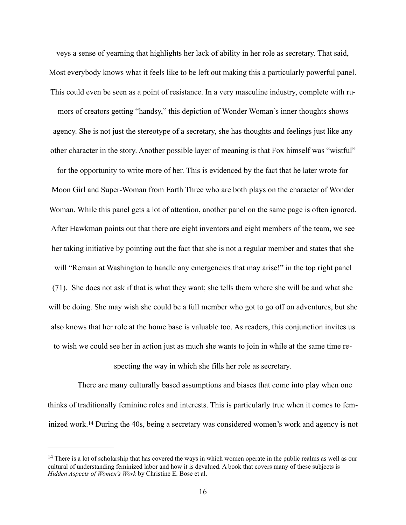veys a sense of yearning that highlights her lack of ability in her role as secretary. That said, Most everybody knows what it feels like to be left out making this a particularly powerful panel. This could even be seen as a point of resistance. In a very masculine industry, complete with rumors of creators getting "handsy," this depiction of Wonder Woman's inner thoughts shows agency. She is not just the stereotype of a secretary, she has thoughts and feelings just like any other character in the story. Another possible layer of meaning is that Fox himself was "wistful"

for the opportunity to write more of her. This is evidenced by the fact that he later wrote for Moon Girl and Super-Woman from Earth Three who are both plays on the character of Wonder Woman. While this panel gets a lot of attention, another panel on the same page is often ignored. After Hawkman points out that there are eight inventors and eight members of the team, we see her taking initiative by pointing out the fact that she is not a regular member and states that she will "Remain at Washington to handle any emergencies that may arise!" in the top right panel (71). She does not ask if that is what they want; she tells them where she will be and what she will be doing. She may wish she could be a full member who got to go off on adventures, but she also knows that her role at the home base is valuable too. As readers, this conjunction invites us to wish we could see her in action just as much she wants to join in while at the same time re-

specting the way in which she fills her role as secretary.

 There are many culturally based assumptions and biases that come into play when one thinks of traditionally feminine roles and interests. This is particularly true when it comes to fem-inizedwork.<sup>[14](#page-23-0)</sup> During the 40s, being a secretary was considered women's work and agency is not

<span id="page-23-1"></span><span id="page-23-0"></span><sup>&</sup>lt;sup>[14](#page-23-1)</sup> There is a lot of scholarship that has covered the ways in which women operate in the public realms as well as our cultural of understanding feminized labor and how it is devalued. A book that covers many of these subjects is *Hidden Aspects of Women's Work* by Christine E. Bose et al.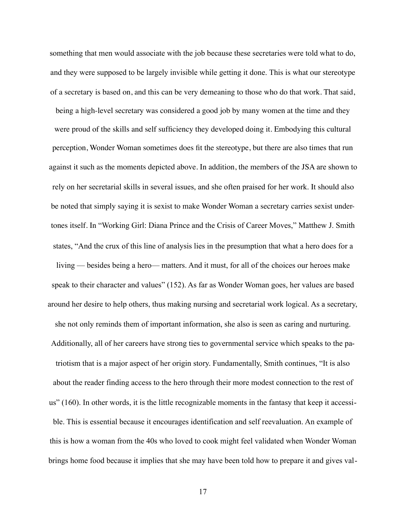something that men would associate with the job because these secretaries were told what to do, and they were supposed to be largely invisible while getting it done. This is what our stereotype of a secretary is based on, and this can be very demeaning to those who do that work. That said, being a high-level secretary was considered a good job by many women at the time and they were proud of the skills and self sufficiency they developed doing it. Embodying this cultural perception, Wonder Woman sometimes does fit the stereotype, but there are also times that run against it such as the moments depicted above. In addition, the members of the JSA are shown to rely on her secretarial skills in several issues, and she often praised for her work. It should also be noted that simply saying it is sexist to make Wonder Woman a secretary carries sexist undertones itself. In "Working Girl: Diana Prince and the Crisis of Career Moves," Matthew J. Smith states, "And the crux of this line of analysis lies in the presumption that what a hero does for a living — besides being a hero— matters. And it must, for all of the choices our heroes make speak to their character and values" (152). As far as Wonder Woman goes, her values are based around her desire to help others, thus making nursing and secretarial work logical. As a secretary, she not only reminds them of important information, she also is seen as caring and nurturing. Additionally, all of her careers have strong ties to governmental service which speaks to the patriotism that is a major aspect of her origin story. Fundamentally, Smith continues, "It is also about the reader finding access to the hero through their more modest connection to the rest of us" (160). In other words, it is the little recognizable moments in the fantasy that keep it accessible. This is essential because it encourages identification and self reevaluation. An example of this is how a woman from the 40s who loved to cook might feel validated when Wonder Woman brings home food because it implies that she may have been told how to prepare it and gives val-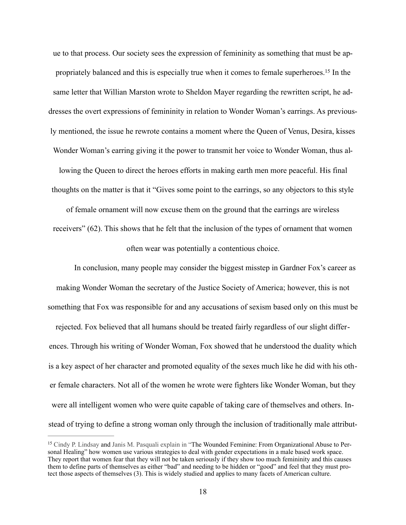<span id="page-25-1"></span>ue to that process. Our society sees the expression of femininity as something that must be ap-propriately balanced and this is especially true when it comes to female superheroes[.](#page-25-0)<sup>[15](#page-25-0)</sup> In the same letter that Willian Marston wrote to Sheldon Mayer regarding the rewritten script, he addresses the overt expressions of femininity in relation to Wonder Woman's earrings. As previously mentioned, the issue he rewrote contains a moment where the Queen of Venus, Desira, kisses Wonder Woman's earring giving it the power to transmit her voice to Wonder Woman, thus allowing the Queen to direct the heroes efforts in making earth men more peaceful. His final thoughts on the matter is that it "Gives some point to the earrings, so any objectors to this style

of female ornament will now excuse them on the ground that the earrings are wireless receivers" (62). This shows that he felt that the inclusion of the types of ornament that women often wear was potentially a contentious choice.

 In conclusion, many people may consider the biggest misstep in Gardner Fox's career as making Wonder Woman the secretary of the Justice Society of America; however, this is not something that Fox was responsible for and any accusations of sexism based only on this must be rejected. Fox believed that all humans should be treated fairly regardless of our slight differences. Through his writing of Wonder Woman, Fox showed that he understood the duality which is a key aspect of her character and promoted equality of the sexes much like he did with his other female characters. Not all of the women he wrote were fighters like Wonder Woman, but they were all intelligent women who were quite capable of taking care of themselves and others. Instead of trying to define a strong woman only through the inclusion of traditionally male attribut-

<span id="page-25-0"></span><sup>&</sup>lt;sup>[15](#page-25-1)</sup> Cindy P. Lindsay and Janis M. Pasquali explain in "The Wounded Feminine: From Organizational Abuse to Personal Healing" how women use various strategies to deal with gender expectations in a male based work space. They report that women fear that they will not be taken seriously if they show too much femininity and this causes them to define parts of themselves as either "bad" and needing to be hidden or "good" and feel that they must protect those aspects of themselves (3). This is widely studied and applies to many facets of American culture.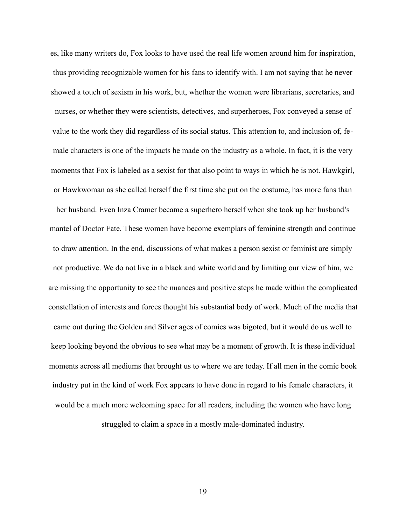es, like many writers do, Fox looks to have used the real life women around him for inspiration, thus providing recognizable women for his fans to identify with. I am not saying that he never showed a touch of sexism in his work, but, whether the women were librarians, secretaries, and nurses, or whether they were scientists, detectives, and superheroes, Fox conveyed a sense of value to the work they did regardless of its social status. This attention to, and inclusion of, female characters is one of the impacts he made on the industry as a whole. In fact, it is the very moments that Fox is labeled as a sexist for that also point to ways in which he is not. Hawkgirl, or Hawkwoman as she called herself the first time she put on the costume, has more fans than her husband. Even Inza Cramer became a superhero herself when she took up her husband's mantel of Doctor Fate. These women have become exemplars of feminine strength and continue to draw attention. In the end, discussions of what makes a person sexist or feminist are simply not productive. We do not live in a black and white world and by limiting our view of him, we are missing the opportunity to see the nuances and positive steps he made within the complicated constellation of interests and forces thought his substantial body of work. Much of the media that came out during the Golden and Silver ages of comics was bigoted, but it would do us well to keep looking beyond the obvious to see what may be a moment of growth. It is these individual moments across all mediums that brought us to where we are today. If all men in the comic book industry put in the kind of work Fox appears to have done in regard to his female characters, it would be a much more welcoming space for all readers, including the women who have long struggled to claim a space in a mostly male-dominated industry.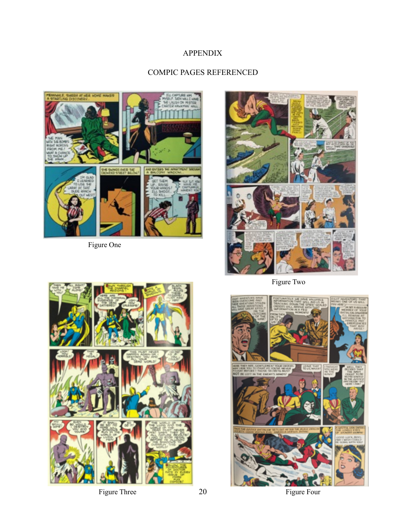# APPENDIX

# COMPIC PAGES REFERENCED



Figure One



Figure Two



Figure Three 20 Figure Four

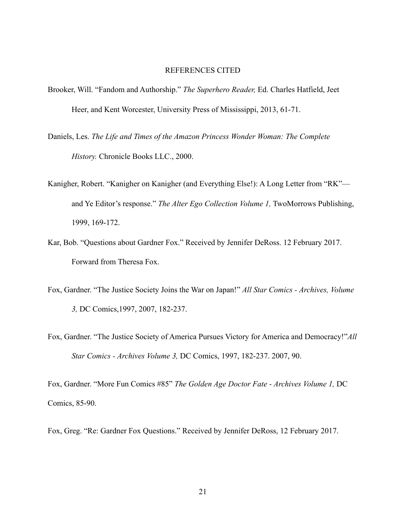#### REFERENCES CITED

- Brooker, Will. "Fandom and Authorship." *The Superhero Reader,* Ed. Charles Hatfield, Jeet Heer, and Kent Worcester, University Press of Mississippi, 2013, 61-71.
- Daniels, Les. *The Life and Times of the Amazon Princess Wonder Woman: The Complete History.* Chronicle Books LLC., 2000.
- Kanigher, Robert. "Kanigher on Kanigher (and Everything Else!): A Long Letter from "RK" and Ye Editor's response." *The Alter Ego Collection Volume 1,* TwoMorrows Publishing, 1999, 169-172.
- Kar, Bob. "Questions about Gardner Fox." Received by Jennifer DeRoss. 12 February 2017. Forward from Theresa Fox.
- Fox, Gardner. "The Justice Society Joins the War on Japan!" *All Star Comics Archives, Volume 3,* DC Comics,1997, 2007, 182-237.
- Fox, Gardner. "The Justice Society of America Pursues Victory for America and Democracy!"*All Star Comics - Archives Volume 3,* DC Comics, 1997, 182-237. 2007, 90.

Fox, Gardner. "More Fun Comics #85" *The Golden Age Doctor Fate - Archives Volume 1,* DC Comics, 85-90.

Fox, Greg. "Re: Gardner Fox Questions." Received by Jennifer DeRoss, 12 February 2017.